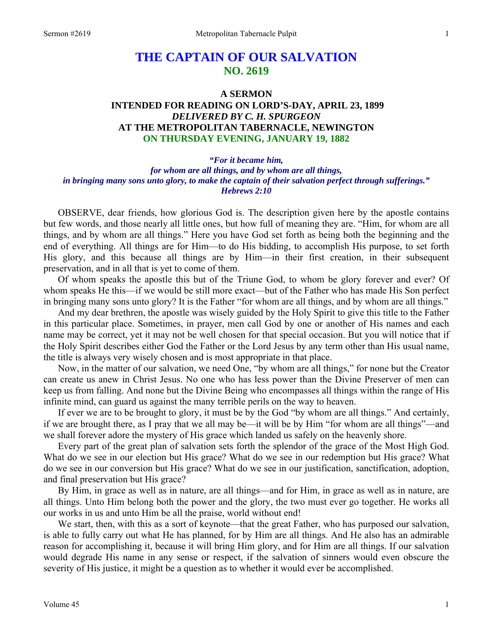# **THE CAPTAIN OF OUR SALVATION NO. 2619**

## **A SERMON INTENDED FOR READING ON LORD'S-DAY, APRIL 23, 1899**  *DELIVERED BY C. H. SPURGEON*  **AT THE METROPOLITAN TABERNACLE, NEWINGTON ON THURSDAY EVENING, JANUARY 19, 1882**

### *"For it became him, for whom are all things, and by whom are all things, in bringing many sons unto glory, to make the captain of their salvation perfect through sufferings." Hebrews 2:10*

OBSERVE, dear friends, how glorious God is. The description given here by the apostle contains but few words, and those nearly all little ones, but how full of meaning they are. "Him, for whom are all things, and by whom are all things." Here you have God set forth as being both the beginning and the end of everything. All things are for Him—to do His bidding, to accomplish His purpose, to set forth His glory, and this because all things are by Him—in their first creation, in their subsequent preservation, and in all that is yet to come of them.

 Of whom speaks the apostle this but of the Triune God, to whom be glory forever and ever? Of whom speaks He this—if we would be still more exact—but of the Father who has made His Son perfect in bringing many sons unto glory? It is the Father "for whom are all things, and by whom are all things."

 And my dear brethren, the apostle was wisely guided by the Holy Spirit to give this title to the Father in this particular place. Sometimes, in prayer, men call God by one or another of His names and each name may be correct, yet it may not be well chosen for that special occasion. But you will notice that if the Holy Spirit describes either God the Father or the Lord Jesus by any term other than His usual name, the title is always very wisely chosen and is most appropriate in that place.

 Now, in the matter of our salvation, we need One, "by whom are all things," for none but the Creator can create us anew in Christ Jesus. No one who has less power than the Divine Preserver of men can keep us from falling. And none but the Divine Being who encompasses all things within the range of His infinite mind, can guard us against the many terrible perils on the way to heaven.

 If ever we are to be brought to glory, it must be by the God "by whom are all things." And certainly, if we are brought there, as I pray that we all may be—it will be by Him "for whom are all things"—and we shall forever adore the mystery of His grace which landed us safely on the heavenly shore.

 Every part of the great plan of salvation sets forth the splendor of the grace of the Most High God. What do we see in our election but His grace? What do we see in our redemption but His grace? What do we see in our conversion but His grace? What do we see in our justification, sanctification, adoption, and final preservation but His grace?

 By Him, in grace as well as in nature, are all things—and for Him, in grace as well as in nature, are all things. Unto Him belong both the power and the glory, the two must ever go together. He works all our works in us and unto Him be all the praise, world without end!

We start, then, with this as a sort of keynote—that the great Father, who has purposed our salvation, is able to fully carry out what He has planned, for by Him are all things. And He also has an admirable reason for accomplishing it, because it will bring Him glory, and for Him are all things. If our salvation would degrade His name in any sense or respect, if the salvation of sinners would even obscure the severity of His justice, it might be a question as to whether it would ever be accomplished.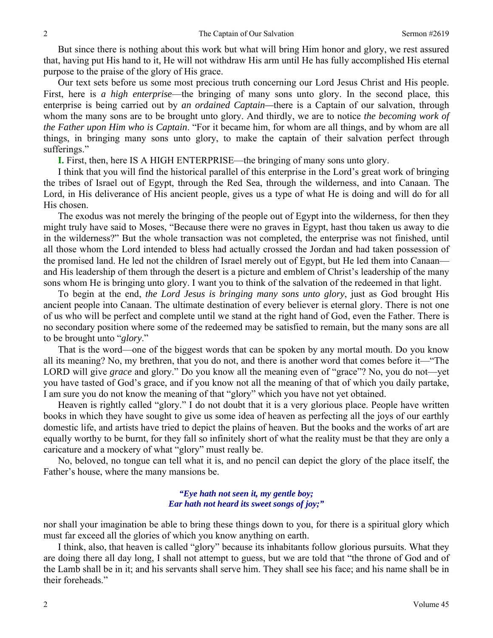But since there is nothing about this work but what will bring Him honor and glory, we rest assured that, having put His hand to it, He will not withdraw His arm until He has fully accomplished His eternal purpose to the praise of the glory of His grace.

 Our text sets before us some most precious truth concerning our Lord Jesus Christ and His people. First, here is *a high enterprise*—the bringing of many sons unto glory. In the second place, this enterprise is being carried out by *an ordained Captain—*there is a Captain of our salvation, through whom the many sons are to be brought unto glory. And thirdly, we are to notice *the becoming work of the Father upon Him who is Captain*. "For it became him, for whom are all things, and by whom are all things, in bringing many sons unto glory, to make the captain of their salvation perfect through sufferings."

**I.** First, then, here IS A HIGH ENTERPRISE—the bringing of many sons unto glory.

 I think that you will find the historical parallel of this enterprise in the Lord's great work of bringing the tribes of Israel out of Egypt, through the Red Sea, through the wilderness, and into Canaan. The Lord, in His deliverance of His ancient people, gives us a type of what He is doing and will do for all His chosen.

 The exodus was not merely the bringing of the people out of Egypt into the wilderness, for then they might truly have said to Moses, "Because there were no graves in Egypt, hast thou taken us away to die in the wilderness?" But the whole transaction was not completed, the enterprise was not finished, until all those whom the Lord intended to bless had actually crossed the Jordan and had taken possession of the promised land. He led not the children of Israel merely out of Egypt, but He led them into Canaan and His leadership of them through the desert is a picture and emblem of Christ's leadership of the many sons whom He is bringing unto glory. I want you to think of the salvation of the redeemed in that light.

 To begin at the end, *the Lord Jesus is bringing many sons unto glory*, just as God brought His ancient people into Canaan. The ultimate destination of every believer is eternal glory. There is not one of us who will be perfect and complete until we stand at the right hand of God, even the Father. There is no secondary position where some of the redeemed may be satisfied to remain, but the many sons are all to be brought unto "*glory*."

 That is the word—one of the biggest words that can be spoken by any mortal mouth. Do you know all its meaning? No, my brethren, that you do not, and there is another word that comes before it—"The LORD will give *grace* and glory." Do you know all the meaning even of "grace"? No, you do not—yet you have tasted of God's grace, and if you know not all the meaning of that of which you daily partake, I am sure you do not know the meaning of that "glory" which you have not yet obtained.

 Heaven is rightly called "glory." I do not doubt that it is a very glorious place. People have written books in which they have sought to give us some idea of heaven as perfecting all the joys of our earthly domestic life, and artists have tried to depict the plains of heaven. But the books and the works of art are equally worthy to be burnt, for they fall so infinitely short of what the reality must be that they are only a caricature and a mockery of what "glory" must really be.

 No, beloved, no tongue can tell what it is, and no pencil can depict the glory of the place itself, the Father's house, where the many mansions be.

#### *"Eye hath not seen it, my gentle boy; Ear hath not heard its sweet songs of joy;"*

nor shall your imagination be able to bring these things down to you, for there is a spiritual glory which must far exceed all the glories of which you know anything on earth.

 I think, also, that heaven is called "glory" because its inhabitants follow glorious pursuits. What they are doing there all day long, I shall not attempt to guess, but we are told that "the throne of God and of the Lamb shall be in it; and his servants shall serve him. They shall see his face; and his name shall be in their foreheads."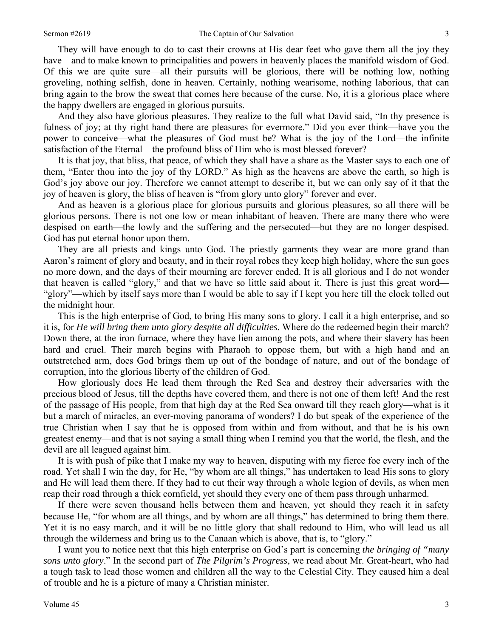They will have enough to do to cast their crowns at His dear feet who gave them all the joy they have—and to make known to principalities and powers in heavenly places the manifold wisdom of God. Of this we are quite sure—all their pursuits will be glorious, there will be nothing low, nothing groveling, nothing selfish, done in heaven. Certainly, nothing wearisome, nothing laborious, that can bring again to the brow the sweat that comes here because of the curse. No, it is a glorious place where the happy dwellers are engaged in glorious pursuits.

 And they also have glorious pleasures. They realize to the full what David said, "In thy presence is fulness of joy; at thy right hand there are pleasures for evermore." Did you ever think—have you the power to conceive—what the pleasures of God must be? What is the joy of the Lord—the infinite satisfaction of the Eternal—the profound bliss of Him who is most blessed forever?

 It is that joy, that bliss, that peace, of which they shall have a share as the Master says to each one of them, "Enter thou into the joy of thy LORD." As high as the heavens are above the earth, so high is God's joy above our joy. Therefore we cannot attempt to describe it, but we can only say of it that the joy of heaven is glory, the bliss of heaven is "from glory unto glory" forever and ever.

 And as heaven is a glorious place for glorious pursuits and glorious pleasures, so all there will be glorious persons. There is not one low or mean inhabitant of heaven. There are many there who were despised on earth—the lowly and the suffering and the persecuted—but they are no longer despised. God has put eternal honor upon them.

 They are all priests and kings unto God. The priestly garments they wear are more grand than Aaron's raiment of glory and beauty, and in their royal robes they keep high holiday, where the sun goes no more down, and the days of their mourning are forever ended. It is all glorious and I do not wonder that heaven is called "glory," and that we have so little said about it. There is just this great word— "glory"—which by itself says more than I would be able to say if I kept you here till the clock tolled out the midnight hour.

 This is the high enterprise of God, to bring His many sons to glory. I call it a high enterprise, and so it is, for *He will bring them unto glory despite all difficulties*. Where do the redeemed begin their march? Down there, at the iron furnace, where they have lien among the pots, and where their slavery has been hard and cruel. Their march begins with Pharaoh to oppose them, but with a high hand and an outstretched arm, does God brings them up out of the bondage of nature, and out of the bondage of corruption, into the glorious liberty of the children of God.

 How gloriously does He lead them through the Red Sea and destroy their adversaries with the precious blood of Jesus, till the depths have covered them, and there is not one of them left! And the rest of the passage of His people, from that high day at the Red Sea onward till they reach glory—what is it but a march of miracles, an ever-moving panorama of wonders? I do but speak of the experience of the true Christian when I say that he is opposed from within and from without, and that he is his own greatest enemy—and that is not saying a small thing when I remind you that the world, the flesh, and the devil are all leagued against him.

 It is with push of pike that I make my way to heaven, disputing with my fierce foe every inch of the road. Yet shall I win the day, for He, "by whom are all things," has undertaken to lead His sons to glory and He will lead them there. If they had to cut their way through a whole legion of devils, as when men reap their road through a thick cornfield, yet should they every one of them pass through unharmed.

 If there were seven thousand hells between them and heaven, yet should they reach it in safety because He, "for whom are all things, and by whom are all things," has determined to bring them there. Yet it is no easy march, and it will be no little glory that shall redound to Him, who will lead us all through the wilderness and bring us to the Canaan which is above, that is, to "glory."

 I want you to notice next that this high enterprise on God's part is concerning *the bringing of "many sons unto glory*." In the second part of *The Pilgrim's Progress*, we read about Mr. Great-heart, who had a tough task to lead those women and children all the way to the Celestial City. They caused him a deal of trouble and he is a picture of many a Christian minister.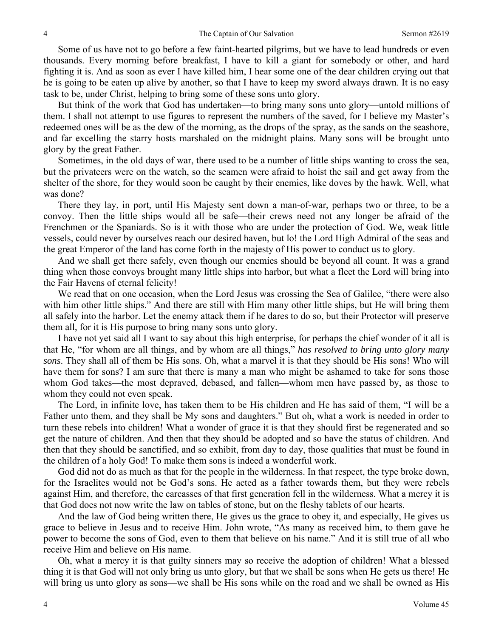Some of us have not to go before a few faint-hearted pilgrims, but we have to lead hundreds or even thousands. Every morning before breakfast, I have to kill a giant for somebody or other, and hard fighting it is. And as soon as ever I have killed him, I hear some one of the dear children crying out that he is going to be eaten up alive by another, so that I have to keep my sword always drawn. It is no easy task to be, under Christ, helping to bring some of these sons unto glory.

 But think of the work that God has undertaken—to bring many sons unto glory—untold millions of them. I shall not attempt to use figures to represent the numbers of the saved, for I believe my Master's redeemed ones will be as the dew of the morning, as the drops of the spray, as the sands on the seashore, and far excelling the starry hosts marshaled on the midnight plains. Many sons will be brought unto glory by the great Father.

 Sometimes, in the old days of war, there used to be a number of little ships wanting to cross the sea, but the privateers were on the watch, so the seamen were afraid to hoist the sail and get away from the shelter of the shore, for they would soon be caught by their enemies, like doves by the hawk. Well, what was done?

 There they lay, in port, until His Majesty sent down a man-of-war, perhaps two or three, to be a convoy. Then the little ships would all be safe—their crews need not any longer be afraid of the Frenchmen or the Spaniards. So is it with those who are under the protection of God. We, weak little vessels, could never by ourselves reach our desired haven, but lo! the Lord High Admiral of the seas and the great Emperor of the land has come forth in the majesty of His power to conduct us to glory.

 And we shall get there safely, even though our enemies should be beyond all count. It was a grand thing when those convoys brought many little ships into harbor, but what a fleet the Lord will bring into the Fair Havens of eternal felicity!

 We read that on one occasion, when the Lord Jesus was crossing the Sea of Galilee, "there were also with him other little ships." And there are still with Him many other little ships, but He will bring them all safely into the harbor. Let the enemy attack them if he dares to do so, but their Protector will preserve them all, for it is His purpose to bring many sons unto glory.

 I have not yet said all I want to say about this high enterprise, for perhaps the chief wonder of it all is that He, "for whom are all things, and by whom are all things," *has resolved to bring unto glory many sons*. They shall all of them be His sons. Oh, what a marvel it is that they should be His sons! Who will have them for sons? I am sure that there is many a man who might be ashamed to take for sons those whom God takes—the most depraved, debased, and fallen—whom men have passed by, as those to whom they could not even speak.

 The Lord, in infinite love, has taken them to be His children and He has said of them, "I will be a Father unto them, and they shall be My sons and daughters." But oh, what a work is needed in order to turn these rebels into children! What a wonder of grace it is that they should first be regenerated and so get the nature of children. And then that they should be adopted and so have the status of children. And then that they should be sanctified, and so exhibit, from day to day, those qualities that must be found in the children of a holy God! To make them sons is indeed a wonderful work.

God did not do as much as that for the people in the wilderness. In that respect, the type broke down, for the Israelites would not be God's sons. He acted as a father towards them, but they were rebels against Him, and therefore, the carcasses of that first generation fell in the wilderness. What a mercy it is that God does not now write the law on tables of stone, but on the fleshy tablets of our hearts.

 And the law of God being written there, He gives us the grace to obey it, and especially, He gives us grace to believe in Jesus and to receive Him. John wrote, "As many as received him, to them gave he power to become the sons of God, even to them that believe on his name." And it is still true of all who receive Him and believe on His name.

 Oh, what a mercy it is that guilty sinners may so receive the adoption of children! What a blessed thing it is that God will not only bring us unto glory, but that we shall be sons when He gets us there! He will bring us unto glory as sons—we shall be His sons while on the road and we shall be owned as His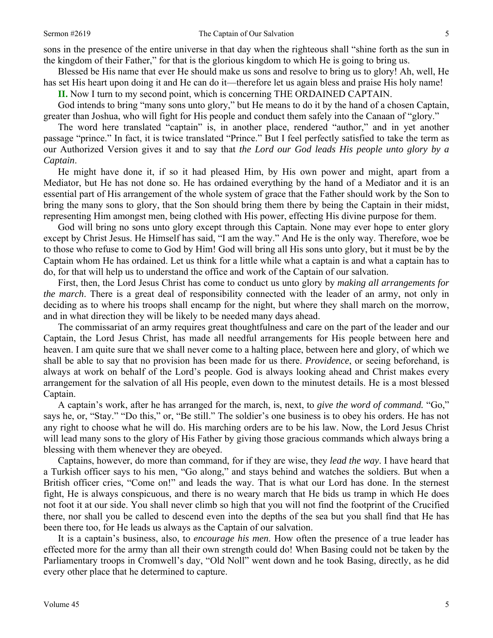sons in the presence of the entire universe in that day when the righteous shall "shine forth as the sun in the kingdom of their Father," for that is the glorious kingdom to which He is going to bring us.

 Blessed be His name that ever He should make us sons and resolve to bring us to glory! Ah, well, He has set His heart upon doing it and He can do it—therefore let us again bless and praise His holy name!

**II.** Now I turn to my second point, which is concerning THE ORDAINED CAPTAIN.

 God intends to bring "many sons unto glory," but He means to do it by the hand of a chosen Captain, greater than Joshua, who will fight for His people and conduct them safely into the Canaan of "glory."

 The word here translated "captain" is, in another place, rendered "author," and in yet another passage "prince." In fact, it is twice translated "Prince." But I feel perfectly satisfied to take the term as our Authorized Version gives it and to say that *the Lord our God leads His people unto glory by a Captain*.

 He might have done it, if so it had pleased Him, by His own power and might, apart from a Mediator, but He has not done so. He has ordained everything by the hand of a Mediator and it is an essential part of His arrangement of the whole system of grace that the Father should work by the Son to bring the many sons to glory, that the Son should bring them there by being the Captain in their midst, representing Him amongst men, being clothed with His power, effecting His divine purpose for them.

 God will bring no sons unto glory except through this Captain. None may ever hope to enter glory except by Christ Jesus. He Himself has said, "I am the way." And He is the only way. Therefore, woe be to those who refuse to come to God by Him! God will bring all His sons unto glory, but it must be by the Captain whom He has ordained. Let us think for a little while what a captain is and what a captain has to do, for that will help us to understand the office and work of the Captain of our salvation.

 First, then, the Lord Jesus Christ has come to conduct us unto glory by *making all arrangements for the march*. There is a great deal of responsibility connected with the leader of an army, not only in deciding as to where his troops shall encamp for the night, but where they shall march on the morrow, and in what direction they will be likely to be needed many days ahead.

 The commissariat of an army requires great thoughtfulness and care on the part of the leader and our Captain, the Lord Jesus Christ, has made all needful arrangements for His people between here and heaven. I am quite sure that we shall never come to a halting place, between here and glory, of which we shall be able to say that no provision has been made for us there. *Providence*, or seeing beforehand, is always at work on behalf of the Lord's people. God is always looking ahead and Christ makes every arrangement for the salvation of all His people, even down to the minutest details. He is a most blessed Captain.

 A captain's work, after he has arranged for the march, is, next, to *give the word of command.* "Go," says he, or, "Stay." "Do this," or, "Be still." The soldier's one business is to obey his orders. He has not any right to choose what he will do. His marching orders are to be his law. Now, the Lord Jesus Christ will lead many sons to the glory of His Father by giving those gracious commands which always bring a blessing with them whenever they are obeyed.

 Captains, however, do more than command, for if they are wise, they *lead the way*. I have heard that a Turkish officer says to his men, "Go along," and stays behind and watches the soldiers. But when a British officer cries, "Come on!" and leads the way. That is what our Lord has done. In the sternest fight, He is always conspicuous, and there is no weary march that He bids us tramp in which He does not foot it at our side. You shall never climb so high that you will not find the footprint of the Crucified there, nor shall you be called to descend even into the depths of the sea but you shall find that He has been there too, for He leads us always as the Captain of our salvation.

 It is a captain's business, also, to *encourage his men*. How often the presence of a true leader has effected more for the army than all their own strength could do! When Basing could not be taken by the Parliamentary troops in Cromwell's day, "Old Noll" went down and he took Basing, directly, as he did every other place that he determined to capture.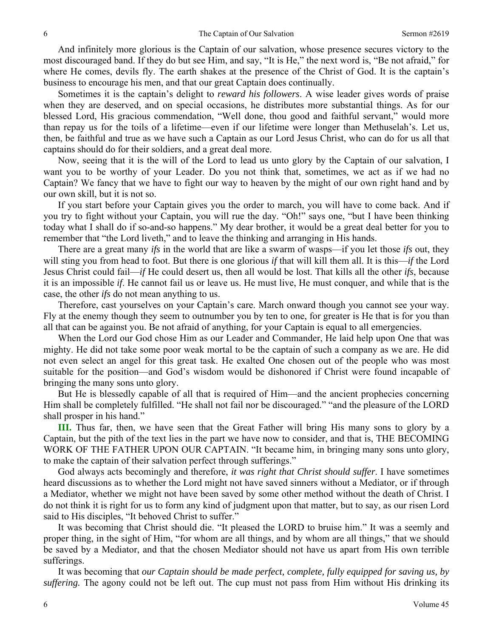And infinitely more glorious is the Captain of our salvation, whose presence secures victory to the most discouraged band. If they do but see Him, and say, "It is He," the next word is, "Be not afraid," for where He comes, devils fly. The earth shakes at the presence of the Christ of God. It is the captain's business to encourage his men, and that our great Captain does continually.

 Sometimes it is the captain's delight to *reward his followers*. A wise leader gives words of praise when they are deserved, and on special occasions, he distributes more substantial things. As for our blessed Lord, His gracious commendation, "Well done, thou good and faithful servant," would more than repay us for the toils of a lifetime—even if our lifetime were longer than Methuselah's. Let us, then, be faithful and true as we have such a Captain as our Lord Jesus Christ, who can do for us all that captains should do for their soldiers, and a great deal more.

 Now, seeing that it is the will of the Lord to lead us unto glory by the Captain of our salvation, I want you to be worthy of your Leader. Do you not think that, sometimes, we act as if we had no Captain? We fancy that we have to fight our way to heaven by the might of our own right hand and by our own skill, but it is not so.

 If you start before your Captain gives you the order to march, you will have to come back. And if you try to fight without your Captain, you will rue the day. "Oh!" says one, "but I have been thinking today what I shall do if so-and-so happens." My dear brother, it would be a great deal better for you to remember that "the Lord liveth," and to leave the thinking and arranging in His hands.

 There are a great many *ifs* in the world that are like a swarm of wasps—if you let those *ifs* out, they will sting you from head to foot. But there is one glorious *if* that will kill them all. It is this—*if* the Lord Jesus Christ could fail—*if* He could desert us, then all would be lost. That kills all the other *ifs*, because it is an impossible *if*. He cannot fail us or leave us. He must live, He must conquer, and while that is the case, the other *ifs* do not mean anything to us.

 Therefore, cast yourselves on your Captain's care. March onward though you cannot see your way. Fly at the enemy though they seem to outnumber you by ten to one, for greater is He that is for you than all that can be against you. Be not afraid of anything, for your Captain is equal to all emergencies.

 When the Lord our God chose Him as our Leader and Commander, He laid help upon One that was mighty. He did not take some poor weak mortal to be the captain of such a company as we are. He did not even select an angel for this great task. He exalted One chosen out of the people who was most suitable for the position—and God's wisdom would be dishonored if Christ were found incapable of bringing the many sons unto glory.

 But He is blessedly capable of all that is required of Him—and the ancient prophecies concerning Him shall be completely fulfilled. "He shall not fail nor be discouraged." "and the pleasure of the LORD shall prosper in his hand."

**III.** Thus far, then, we have seen that the Great Father will bring His many sons to glory by a Captain, but the pith of the text lies in the part we have now to consider, and that is, THE BECOMING WORK OF THE FATHER UPON OUR CAPTAIN. "It became him, in bringing many sons unto glory, to make the captain of their salvation perfect through sufferings."

 God always acts becomingly and therefore, *it was right that Christ should suffer*. I have sometimes heard discussions as to whether the Lord might not have saved sinners without a Mediator, or if through a Mediator, whether we might not have been saved by some other method without the death of Christ. I do not think it is right for us to form any kind of judgment upon that matter, but to say, as our risen Lord said to His disciples, "It behoved Christ to suffer."

 It was becoming that Christ should die. "It pleased the LORD to bruise him." It was a seemly and proper thing, in the sight of Him, "for whom are all things, and by whom are all things," that we should be saved by a Mediator, and that the chosen Mediator should not have us apart from His own terrible sufferings.

 It was becoming that *our Captain should be made perfect, complete, fully equipped for saving us, by suffering.* The agony could not be left out. The cup must not pass from Him without His drinking its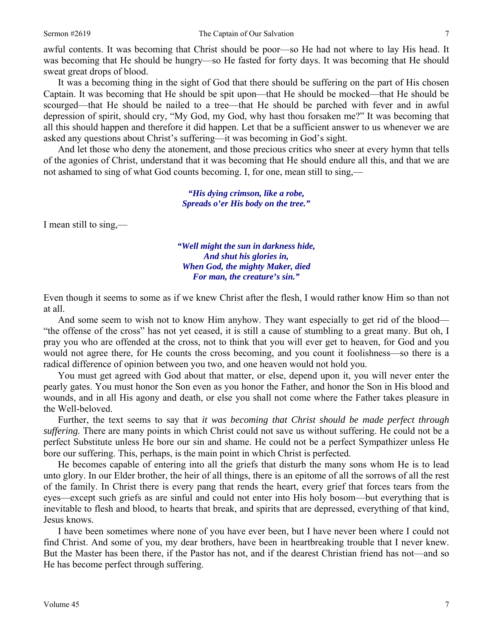awful contents. It was becoming that Christ should be poor—so He had not where to lay His head. It was becoming that He should be hungry—so He fasted for forty days. It was becoming that He should sweat great drops of blood.

 It was a becoming thing in the sight of God that there should be suffering on the part of His chosen Captain. It was becoming that He should be spit upon—that He should be mocked—that He should be scourged—that He should be nailed to a tree—that He should be parched with fever and in awful depression of spirit, should cry, "My God, my God, why hast thou forsaken me?" It was becoming that all this should happen and therefore it did happen. Let that be a sufficient answer to us whenever we are asked any questions about Christ's suffering—it was becoming in God's sight.

 And let those who deny the atonement, and those precious critics who sneer at every hymn that tells of the agonies of Christ, understand that it was becoming that He should endure all this, and that we are not ashamed to sing of what God counts becoming. I, for one, mean still to sing,—

> *"His dying crimson, like a robe, Spreads o'er His body on the tree."*

I mean still to sing,—

*"Well might the sun in darkness hide, And shut his glories in, When God, the mighty Maker, died For man, the creature's sin."* 

Even though it seems to some as if we knew Christ after the flesh, I would rather know Him so than not at all.

 And some seem to wish not to know Him anyhow. They want especially to get rid of the blood— "the offense of the cross" has not yet ceased, it is still a cause of stumbling to a great many. But oh, I pray you who are offended at the cross, not to think that you will ever get to heaven, for God and you would not agree there, for He counts the cross becoming, and you count it foolishness—so there is a radical difference of opinion between you two, and one heaven would not hold you.

 You must get agreed with God about that matter, or else, depend upon it, you will never enter the pearly gates. You must honor the Son even as you honor the Father, and honor the Son in His blood and wounds, and in all His agony and death, or else you shall not come where the Father takes pleasure in the Well-beloved.

 Further, the text seems to say that *it was becoming that Christ should be made perfect through suffering.* There are many points in which Christ could not save us without suffering. He could not be a perfect Substitute unless He bore our sin and shame. He could not be a perfect Sympathizer unless He bore our suffering. This, perhaps, is the main point in which Christ is perfected.

 He becomes capable of entering into all the griefs that disturb the many sons whom He is to lead unto glory. In our Elder brother, the heir of all things, there is an epitome of all the sorrows of all the rest of the family. In Christ there is every pang that rends the heart, every grief that forces tears from the eyes—except such griefs as are sinful and could not enter into His holy bosom—but everything that is inevitable to flesh and blood, to hearts that break, and spirits that are depressed, everything of that kind, Jesus knows.

 I have been sometimes where none of you have ever been, but I have never been where I could not find Christ. And some of you, my dear brothers, have been in heartbreaking trouble that I never knew. But the Master has been there, if the Pastor has not, and if the dearest Christian friend has not—and so He has become perfect through suffering.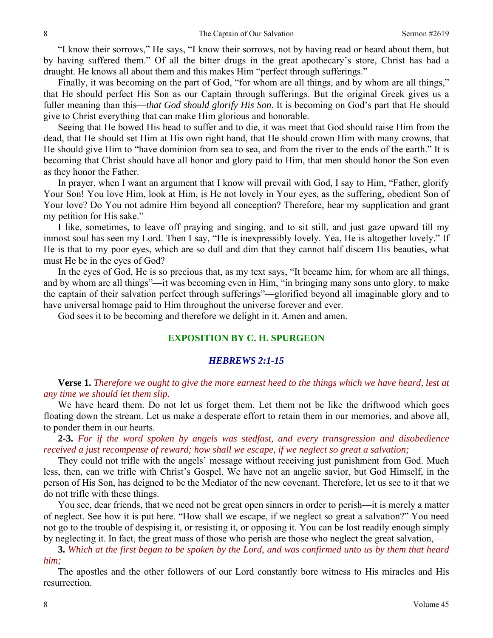"I know their sorrows," He says, "I know their sorrows, not by having read or heard about them, but by having suffered them." Of all the bitter drugs in the great apothecary's store, Christ has had a draught. He knows all about them and this makes Him "perfect through sufferings."

 Finally, it was becoming on the part of God, "for whom are all things, and by whom are all things," that He should perfect His Son as our Captain through sufferings. But the original Greek gives us a fuller meaning than this—*that God should glorify His Son*. It is becoming on God's part that He should give to Christ everything that can make Him glorious and honorable.

 Seeing that He bowed His head to suffer and to die, it was meet that God should raise Him from the dead, that He should set Him at His own right hand, that He should crown Him with many crowns, that He should give Him to "have dominion from sea to sea, and from the river to the ends of the earth." It is becoming that Christ should have all honor and glory paid to Him, that men should honor the Son even as they honor the Father.

 In prayer, when I want an argument that I know will prevail with God, I say to Him, "Father, glorify Your Son! You love Him, look at Him, is He not lovely in Your eyes, as the suffering, obedient Son of Your love? Do You not admire Him beyond all conception? Therefore, hear my supplication and grant my petition for His sake."

 I like, sometimes, to leave off praying and singing, and to sit still, and just gaze upward till my inmost soul has seen my Lord. Then I say, "He is inexpressibly lovely. Yea, He is altogether lovely." If He is that to my poor eyes, which are so dull and dim that they cannot half discern His beauties, what must He be in the eyes of God?

 In the eyes of God, He is so precious that, as my text says, "It became him, for whom are all things, and by whom are all things"—it was becoming even in Him, "in bringing many sons unto glory, to make the captain of their salvation perfect through sufferings"—glorified beyond all imaginable glory and to have universal homage paid to Him throughout the universe forever and ever.

God sees it to be becoming and therefore we delight in it. Amen and amen.

### **EXPOSITION BY C. H. SPURGEON**

#### *HEBREWS 2:1-15*

**Verse 1.** *Therefore we ought to give the more earnest heed to the things which we have heard, lest at any time we should let them slip.* 

We have heard them. Do not let us forget them. Let them not be like the driftwood which goes floating down the stream. Let us make a desperate effort to retain them in our memories, and above all, to ponder them in our hearts.

**2-3.** *For if the word spoken by angels was stedfast, and every transgression and disobedience received a just recompense of reward; how shall we escape, if we neglect so great a salvation;* 

They could not trifle with the angels' message without receiving just punishment from God. Much less, then, can we trifle with Christ's Gospel. We have not an angelic savior, but God Himself, in the person of His Son, has deigned to be the Mediator of the new covenant. Therefore, let us see to it that we do not trifle with these things.

 You see, dear friends, that we need not be great open sinners in order to perish—it is merely a matter of neglect. See how it is put here. "How shall we escape, if we neglect so great a salvation?" You need not go to the trouble of despising it, or resisting it, or opposing it. You can be lost readily enough simply by neglecting it. In fact, the great mass of those who perish are those who neglect the great salvation,—

**3.** *Which at the first began to be spoken by the Lord, and was confirmed unto us by them that heard him;* 

The apostles and the other followers of our Lord constantly bore witness to His miracles and His resurrection.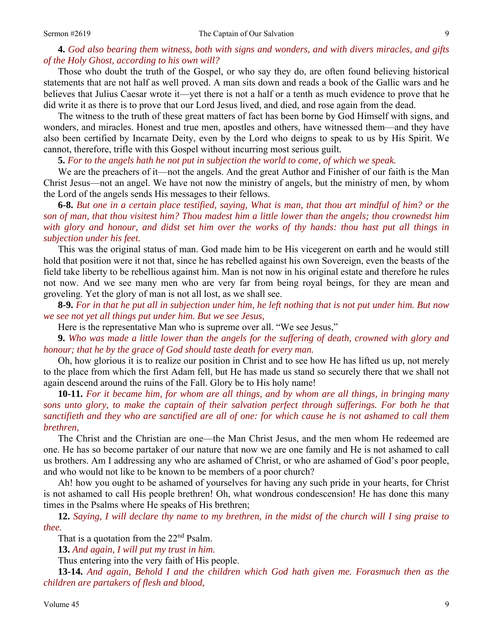## **4.** *God also bearing them witness, both with signs and wonders, and with divers miracles, and gifts of the Holy Ghost, according to his own will?*

Those who doubt the truth of the Gospel, or who say they do, are often found believing historical statements that are not half as well proved. A man sits down and reads a book of the Gallic wars and he believes that Julius Caesar wrote it—yet there is not a half or a tenth as much evidence to prove that he did write it as there is to prove that our Lord Jesus lived, and died, and rose again from the dead.

 The witness to the truth of these great matters of fact has been borne by God Himself with signs, and wonders, and miracles. Honest and true men, apostles and others, have witnessed them—and they have also been certified by Incarnate Deity, even by the Lord who deigns to speak to us by His Spirit. We cannot, therefore, trifle with this Gospel without incurring most serious guilt.

 **5.** *For to the angels hath he not put in subjection the world to come, of which we speak.* 

We are the preachers of it—not the angels. And the great Author and Finisher of our faith is the Man Christ Jesus—not an angel. We have not now the ministry of angels, but the ministry of men, by whom the Lord of the angels sends His messages to their fellows.

**6-8.** *But one in a certain place testified, saying, What is man, that thou art mindful of him? or the son of man, that thou visitest him? Thou madest him a little lower than the angels; thou crownedst him with glory and honour, and didst set him over the works of thy hands: thou hast put all things in subjection under his feet.* 

This was the original status of man. God made him to be His vicegerent on earth and he would still hold that position were it not that, since he has rebelled against his own Sovereign, even the beasts of the field take liberty to be rebellious against him. Man is not now in his original estate and therefore he rules not now. And we see many men who are very far from being royal beings, for they are mean and groveling. Yet the glory of man is not all lost, as we shall see.

**8-9.** *For in that he put all in subjection under him, he left nothing that is not put under him. But now we see not yet all things put under him. But we see Jesus,* 

Here is the representative Man who is supreme over all. "We see Jesus,"

**9.** *Who was made a little lower than the angels for the suffering of death, crowned with glory and honour; that he by the grace of God should taste death for every man.* 

Oh, how glorious it is to realize our position in Christ and to see how He has lifted us up, not merely to the place from which the first Adam fell, but He has made us stand so securely there that we shall not again descend around the ruins of the Fall. Glory be to His holy name!

 **10-11.** *For it became him, for whom are all things, and by whom are all things, in bringing many sons unto glory, to make the captain of their salvation perfect through sufferings. For both he that sanctifieth and they who are sanctified are all of one: for which cause he is not ashamed to call them brethren,* 

The Christ and the Christian are one—the Man Christ Jesus, and the men whom He redeemed are one. He has so become partaker of our nature that now we are one family and He is not ashamed to call us brothers. Am I addressing any who are ashamed of Christ, or who are ashamed of God's poor people, and who would not like to be known to be members of a poor church?

 Ah! how you ought to be ashamed of yourselves for having any such pride in your hearts, for Christ is not ashamed to call His people brethren! Oh, what wondrous condescension! He has done this many times in the Psalms where He speaks of His brethren;

**12.** *Saying, I will declare thy name to my brethren, in the midst of the church will I sing praise to thee.* 

That is a quotation from the 22<sup>nd</sup> Psalm.

**13.** *And again, I will put my trust in him.* 

Thus entering into the very faith of His people.

**13-14.** *And again, Behold I and the children which God hath given me. Forasmuch then as the children are partakers of flesh and blood,*